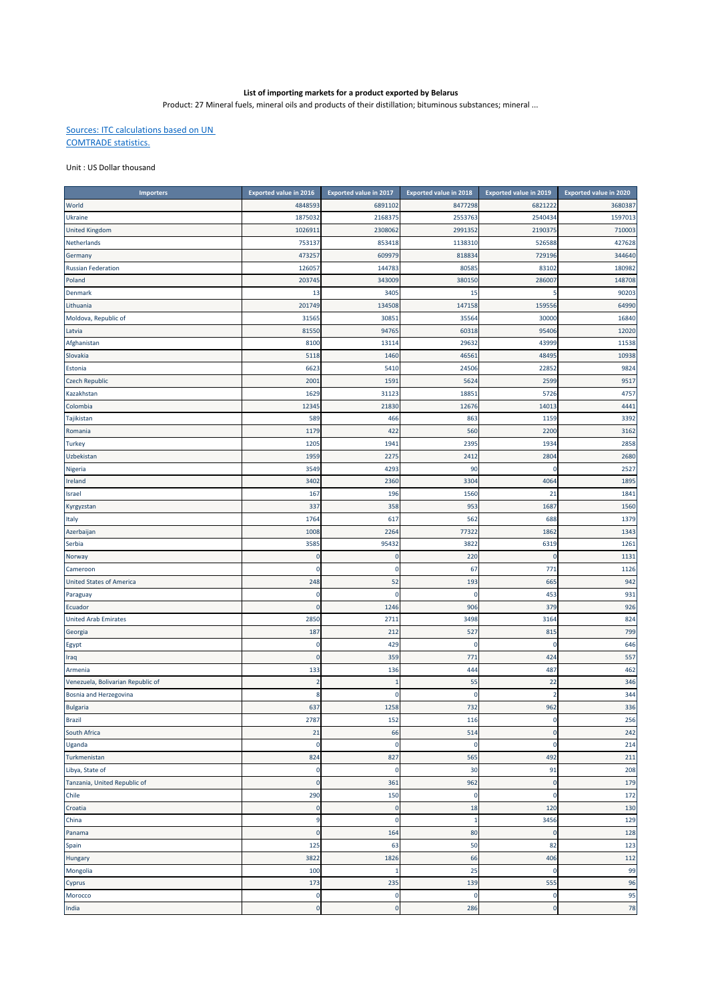## **List of importing markets for a product exported by Belarus**

Product: 27 Mineral fuels, mineral oils and products of their distillation; bituminous substances; mineral ...

## Sources: ITC calculations based on UN COMTRADE statistics.

## Unit : US Dollar thousand

| <b>Importers</b>                  | <b>Exported value in 2016</b> | <b>Exported value in 2017</b> | <b>Exported value in 2018</b> | Exported value in 2019 | <b>Exported value in 2020</b> |
|-----------------------------------|-------------------------------|-------------------------------|-------------------------------|------------------------|-------------------------------|
| World                             | 4848593                       | 6891102                       | 8477298                       | 6821222                | 3680387                       |
| Ukraine                           | 1875032                       | 2168375                       | 2553763                       | 2540434                | 1597013                       |
| <b>United Kingdom</b>             | 102691                        | 2308062                       | 2991352                       | 2190375                | 710003                        |
| Netherlands                       | 75313                         | 853418                        | 1138310                       | 526588                 | 427628                        |
| Germany                           | 473257                        | 609979                        | 818834                        | 729196                 | 344640                        |
| <b>Russian Federation</b>         | 126057                        | 144783                        | 80585                         | 83102                  | 180982                        |
| Poland                            | 20374                         | 343009                        | 380150                        | 286007                 | 148708                        |
| <b>Denmark</b>                    | 13                            | 3405                          | 15                            |                        | 90203                         |
| Lithuania                         | 20174                         | 134508                        | 147158                        | 159556                 | 64990                         |
| Moldova, Republic of              | 3156                          | 30851                         | 35564                         | 30000                  | 16840                         |
| Latvia                            | 8155                          | 94765                         | 60318                         | 95406                  | 12020                         |
| Afghanistan                       | 810                           | 13114                         | 29632                         | 43999                  | 11538                         |
| Slovakia                          | 5118                          | 1460                          | 46561                         | 48495                  | 10938                         |
| Estonia                           | 6623                          | 5410                          | 24506                         | 22852                  | 9824                          |
| <b>Czech Republic</b>             | 200                           | 1591                          | 5624                          | 2599                   | 9517                          |
| Kazakhstan                        | 1629                          | 31123                         | 18851                         | 5726                   | 4757                          |
| Colombia                          | 1234                          | 21830                         | 12676                         | 14013                  | 4441                          |
| Tajikistan                        | 589                           | 466                           | 863                           | 1159                   | 3392                          |
| Romania                           | 1179                          | 422                           | 560                           | 2200                   | 3162                          |
| Turkey                            | 120                           | 1941                          | 2395                          | 1934                   | 2858                          |
| Uzbekistan                        | 1959                          | 2275                          | 2412                          | 2804                   | 2680                          |
| Nigeria                           | 3549                          | 4293                          | 90                            | $\mathcal{C}$          | 2527                          |
| Ireland                           | 3402                          | 2360                          | 3304                          | 4064                   | 1895                          |
| Israel                            | 167                           | 196                           | 1560                          | 21                     | 1841                          |
| Kyrgyzstan                        | 337                           | 358                           | 953                           | 1687                   | 1560                          |
| Italy                             | 1764                          | 617                           | 562                           | 688                    | 1379                          |
| Azerbaijan                        | 1008                          | 2264                          | 77322                         | 1862                   | 1343                          |
| Serbia                            | 3585                          | 95432                         | 3822                          | 6319                   | 1261                          |
| Norway                            | $\Omega$                      | $\mathbf 0$                   | 220                           | <sup>-</sup>           | 1131                          |
| Cameroon                          |                               | -0                            | 67                            | 771                    | 1126                          |
| <b>United States of America</b>   | 248                           | 52                            | 193                           | 665                    | 942                           |
| Paraguay                          |                               | C                             | C                             | 453                    | 931                           |
| Ecuador                           | 0                             | 1246                          | 906                           | 379                    | 926                           |
| <b>United Arab Emirates</b>       | 285                           | 2711                          | 3498                          | 3164                   | 824                           |
| Georgia                           | 187                           | 212                           | 527                           | 815                    | 799                           |
| Egypt                             | 0                             | 429                           | 0                             | C                      | 646                           |
| Iraq                              | $\Omega$                      | 359                           | 771                           | 424                    | 557                           |
| Armenia                           | 133                           | 136                           | 444                           | 487                    | 462                           |
| Venezuela, Bolivarian Republic of | $\overline{\mathbf{z}}$       |                               | 55                            | 22                     | 346                           |
| Bosnia and Herzegovina            | 8                             | C                             | C                             |                        | 344                           |
| <b>Bulgaria</b>                   | 637                           | 1258                          | 732                           | 962                    | 336                           |
| Brazil                            | 2787                          | 152                           | 116                           | $\mathbf{0}$           | 256                           |
| South Africa                      | 21                            | 66                            | 514                           | $\overline{0}$         | 242                           |
| Uganda                            | $\mathbf 0$                   | $\overline{0}$                | $\mathbf 0$                   | $\mathbf 0$            | 214                           |
| Turkmenistan                      | 824                           | 827                           | 565                           | 492                    | 211                           |
| Libya, State of                   | $\mathbf 0$                   | 0                             | 30                            | 91                     | 208                           |
| Tanzania, United Republic of      | $\mathbf 0$                   | 361                           | 962                           | $\overline{0}$         | 179                           |
| Chile                             | 290                           | 150                           | $\mathbf 0$                   | $\overline{0}$         | 172                           |
| Croatia                           | $\overline{0}$                | $\overline{0}$                | 18                            | 120                    | 130                           |
| China                             | 9                             | 0                             | 1                             | 3456                   | 129                           |
| Panama                            | $\overline{0}$                | 164                           | 80                            | <sup>-</sup>           | 128                           |
|                                   | 125                           | 63                            | 50                            | 82                     | 123                           |
| Spain                             | 3822                          | 1826                          | 66                            | 406                    | 112                           |
| Hungary<br>Mongolia               | 100                           | -1                            | 25                            | C.                     | 99                            |
|                                   | 173                           | 235                           | 139                           | 555                    | 96                            |
| Cyprus                            | 0                             | 0                             | $\mathbf 0$                   | C                      | 95                            |
| Morocco<br>India                  | O                             | $\mathbf{C}$                  | 286                           | C                      | 78                            |
|                                   |                               |                               |                               |                        |                               |